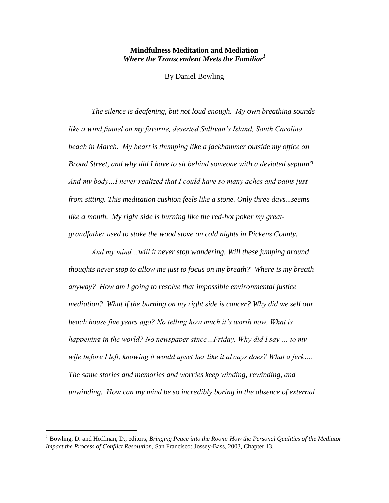# **Mindfulness Meditation and Mediation** *Where the Transcendent Meets the Familiar<sup>1</sup>*

By Daniel Bowling

*The silence is deafening, but not loud enough. My own breathing sounds like a wind funnel on my favorite, deserted Sullivan's Island, South Carolina beach in March. My heart is thumping like a jackhammer outside my office on Broad Street, and why did I have to sit behind someone with a deviated septum? And my body…I never realized that I could have so many aches and pains just from sitting. This meditation cushion feels like a stone. Only three days...seems like a month. My right side is burning like the red-hot poker my greatgrandfather used to stoke the wood stove on cold nights in Pickens County.* 

*And my mind…will it never stop wandering. Will these jumping around thoughts never stop to allow me just to focus on my breath? Where is my breath anyway? How am I going to resolve that impossible environmental justice mediation? What if the burning on my right side is cancer? Why did we sell our beach house five years ago? No telling how much it's worth now. What is happening in the world? No newspaper since…Friday. Why did I say … to my wife before I left, knowing it would upset her like it always does? What a jerk…. The same stories and memories and worries keep winding, rewinding, and unwinding. How can my mind be so incredibly boring in the absence of external* 

 $\overline{a}$ 

<sup>&</sup>lt;sup>1</sup> Bowling, D. and Hoffman, D., editors, *Bringing Peace into the Room: How the Personal Qualities of the Mediator Impact the Process of Conflict Resolution,* San Francisco: Jossey-Bass, 2003, Chapter 13.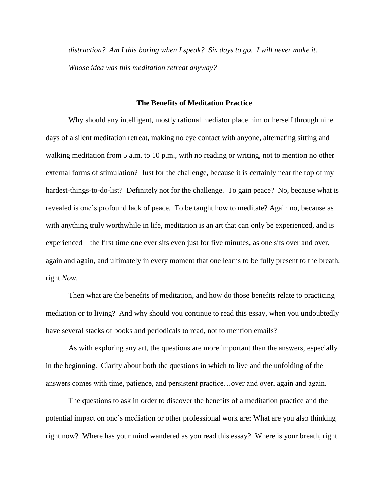*distraction? Am I this boring when I speak? Six days to go. I will never make it. Whose idea was this meditation retreat anyway?*

## **The Benefits of Meditation Practice**

Why should any intelligent, mostly rational mediator place him or herself through nine days of a silent meditation retreat, making no eye contact with anyone, alternating sitting and walking meditation from 5 a.m. to 10 p.m., with no reading or writing, not to mention no other external forms of stimulation? Just for the challenge, because it is certainly near the top of my hardest-things-to-do-list? Definitely not for the challenge. To gain peace? No, because what is revealed is one's profound lack of peace. To be taught how to meditate? Again no, because as with anything truly worthwhile in life, meditation is an art that can only be experienced, and is experienced – the first time one ever sits even just for five minutes, as one sits over and over, again and again, and ultimately in every moment that one learns to be fully present to the breath, right *Now*.

Then what are the benefits of meditation, and how do those benefits relate to practicing mediation or to living? And why should you continue to read this essay, when you undoubtedly have several stacks of books and periodicals to read, not to mention emails?

As with exploring any art, the questions are more important than the answers, especially in the beginning. Clarity about both the questions in which to live and the unfolding of the answers comes with time, patience, and persistent practice…over and over, again and again.

The questions to ask in order to discover the benefits of a meditation practice and the potential impact on one's mediation or other professional work are: What are you also thinking right now? Where has your mind wandered as you read this essay? Where is your breath, right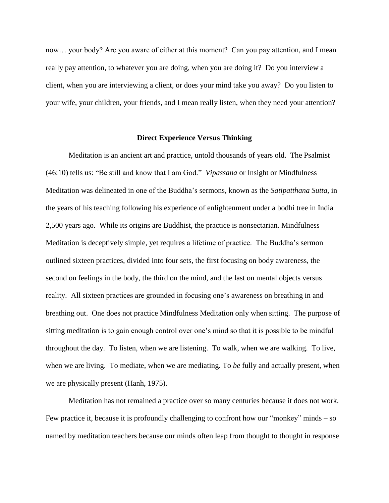now… your body? Are you aware of either at this moment? Can you pay attention, and I mean really pay attention, to whatever you are doing, when you are doing it? Do you interview a client, when you are interviewing a client, or does your mind take you away? Do you listen to your wife, your children, your friends, and I mean really listen, when they need your attention?

## **Direct Experience Versus Thinking**

Meditation is an ancient art and practice, untold thousands of years old. The Psalmist (46:10) tells us: "Be still and know that I am God." *Vipassana* or Insight or Mindfulness Meditation was delineated in one of the Buddha's sermons, known as the *Satipatthana Sutta,* in the years of his teaching following his experience of enlightenment under a bodhi tree in India 2,500 years ago. While its origins are Buddhist, the practice is nonsectarian. Mindfulness Meditation is deceptively simple, yet requires a lifetime of practice. The Buddha's sermon outlined sixteen practices, divided into four sets, the first focusing on body awareness, the second on feelings in the body, the third on the mind, and the last on mental objects versus reality. All sixteen practices are grounded in focusing one's awareness on breathing in and breathing out. One does not practice Mindfulness Meditation only when sitting. The purpose of sitting meditation is to gain enough control over one's mind so that it is possible to be mindful throughout the day. To listen, when we are listening. To walk, when we are walking. To live, when we are living. To mediate, when we are mediating. To *be* fully and actually present, when we are physically present (Hanh, 1975).

Meditation has not remained a practice over so many centuries because it does not work. Few practice it, because it is profoundly challenging to confront how our "monkey" minds – so named by meditation teachers because our minds often leap from thought to thought in response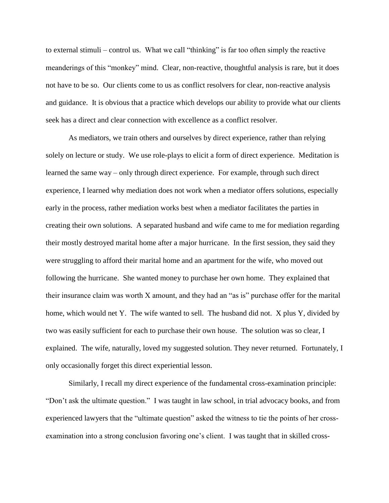to external stimuli – control us. What we call "thinking" is far too often simply the reactive meanderings of this "monkey" mind. Clear, non-reactive, thoughtful analysis is rare, but it does not have to be so. Our clients come to us as conflict resolvers for clear, non-reactive analysis and guidance. It is obvious that a practice which develops our ability to provide what our clients seek has a direct and clear connection with excellence as a conflict resolver.

As mediators, we train others and ourselves by direct experience, rather than relying solely on lecture or study. We use role-plays to elicit a form of direct experience. Meditation is learned the same way – only through direct experience. For example, through such direct experience, I learned why mediation does not work when a mediator offers solutions, especially early in the process, rather mediation works best when a mediator facilitates the parties in creating their own solutions. A separated husband and wife came to me for mediation regarding their mostly destroyed marital home after a major hurricane. In the first session, they said they were struggling to afford their marital home and an apartment for the wife, who moved out following the hurricane. She wanted money to purchase her own home. They explained that their insurance claim was worth X amount, and they had an "as is" purchase offer for the marital home, which would net Y. The wife wanted to sell. The husband did not. X plus Y, divided by two was easily sufficient for each to purchase their own house. The solution was so clear, I explained. The wife, naturally, loved my suggested solution. They never returned. Fortunately, I only occasionally forget this direct experiential lesson.

Similarly, I recall my direct experience of the fundamental cross-examination principle: "Don't ask the ultimate question." I was taught in law school, in trial advocacy books, and from experienced lawyers that the "ultimate question" asked the witness to tie the points of her crossexamination into a strong conclusion favoring one's client. I was taught that in skilled cross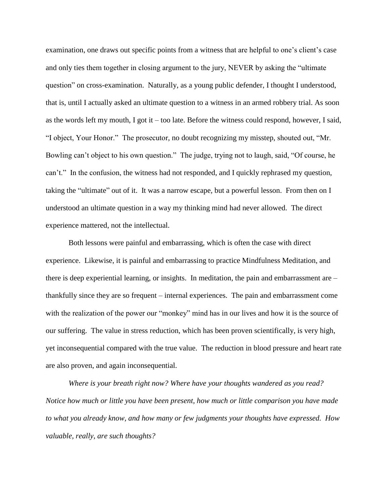examination, one draws out specific points from a witness that are helpful to one's client's case and only ties them together in closing argument to the jury, NEVER by asking the "ultimate question" on cross-examination. Naturally, as a young public defender, I thought I understood, that is, until I actually asked an ultimate question to a witness in an armed robbery trial. As soon as the words left my mouth, I got it – too late. Before the witness could respond, however, I said, "I object, Your Honor." The prosecutor, no doubt recognizing my misstep, shouted out, "Mr. Bowling can't object to his own question." The judge, trying not to laugh, said, "Of course, he can't." In the confusion, the witness had not responded, and I quickly rephrased my question, taking the "ultimate" out of it. It was a narrow escape, but a powerful lesson. From then on I understood an ultimate question in a way my thinking mind had never allowed. The direct experience mattered, not the intellectual.

Both lessons were painful and embarrassing, which is often the case with direct experience. Likewise, it is painful and embarrassing to practice Mindfulness Meditation, and there is deep experiential learning, or insights. In meditation, the pain and embarrassment are – thankfully since they are so frequent – internal experiences. The pain and embarrassment come with the realization of the power our "monkey" mind has in our lives and how it is the source of our suffering. The value in stress reduction, which has been proven scientifically, is very high, yet inconsequential compared with the true value. The reduction in blood pressure and heart rate are also proven, and again inconsequential.

*Where is your breath right now? Where have your thoughts wandered as you read? Notice how much or little you have been present, how much or little comparison you have made to what you already know, and how many or few judgments your thoughts have expressed. How valuable, really, are such thoughts?*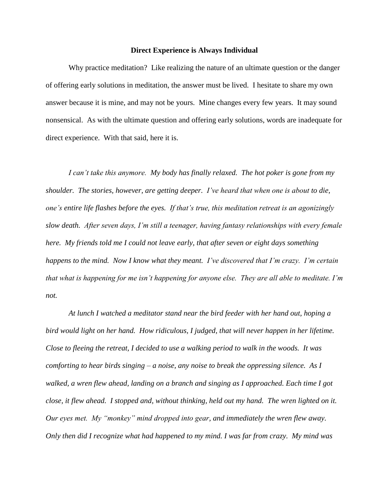#### **Direct Experience is Always Individual**

Why practice meditation? Like realizing the nature of an ultimate question or the danger of offering early solutions in meditation, the answer must be lived. I hesitate to share my own answer because it is mine, and may not be yours. Mine changes every few years. It may sound nonsensical. As with the ultimate question and offering early solutions, words are inadequate for direct experience. With that said, here it is.

*I can't take this anymore. My body has finally relaxed. The hot poker is gone from my shoulder. The stories, however, are getting deeper. I've heard that when one is about to die, one's entire life flashes before the eyes. If that's true, this meditation retreat is an agonizingly slow death. After seven days, I'm still a teenager, having fantasy relationships with every female here. My friends told me I could not leave early, that after seven or eight days something happens to the mind. Now I know what they meant. I've discovered that I'm crazy. I'm certain that what is happening for me isn't happening for anyone else. They are all able to meditate. I'm not.*

*At lunch I watched a meditator stand near the bird feeder with her hand out, hoping a bird would light on her hand. How ridiculous, I judged, that will never happen in her lifetime. Close to fleeing the retreat, I decided to use a walking period to walk in the woods. It was comforting to hear birds singing – a noise, any noise to break the oppressing silence. As I walked, a wren flew ahead, landing on a branch and singing as I approached. Each time I got close, it flew ahead. I stopped and, without thinking, held out my hand. The wren lighted on it. Our eyes met. My "monkey" mind dropped into gear, and immediately the wren flew away. Only then did I recognize what had happened to my mind. I was far from crazy. My mind was*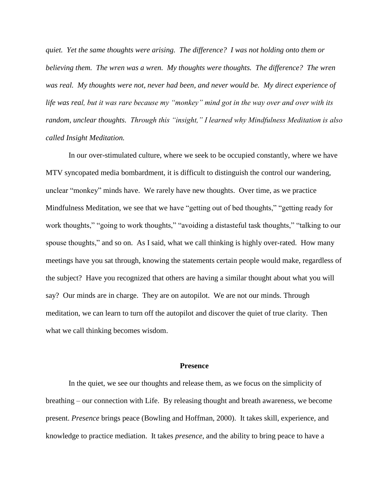*quiet. Yet the same thoughts were arising. The difference? I was not holding onto them or believing them. The wren was a wren. My thoughts were thoughts. The difference? The wren was real. My thoughts were not, never had been, and never would be. My direct experience of life was real, but it was rare because my "monkey" mind got in the way over and over with its random, unclear thoughts. Through this "insight," I learned why Mindfulness Meditation is also called Insight Meditation.* 

In our over-stimulated culture, where we seek to be occupied constantly, where we have MTV syncopated media bombardment, it is difficult to distinguish the control our wandering, unclear "monkey" minds have. We rarely have new thoughts. Over time, as we practice Mindfulness Meditation, we see that we have "getting out of bed thoughts," "getting ready for work thoughts," "going to work thoughts," "avoiding a distasteful task thoughts," "talking to our spouse thoughts," and so on. As I said, what we call thinking is highly over-rated. How many meetings have you sat through, knowing the statements certain people would make, regardless of the subject? Have you recognized that others are having a similar thought about what you will say? Our minds are in charge. They are on autopilot. We are not our minds. Through meditation, we can learn to turn off the autopilot and discover the quiet of true clarity. Then what we call thinking becomes wisdom.

#### **Presence**

In the quiet, we see our thoughts and release them, as we focus on the simplicity of breathing – our connection with Life. By releasing thought and breath awareness, we become present. *Presence* brings peace (Bowling and Hoffman, 2000). It takes skill, experience, and knowledge to practice mediation. It takes *presence*, and the ability to bring peace to have a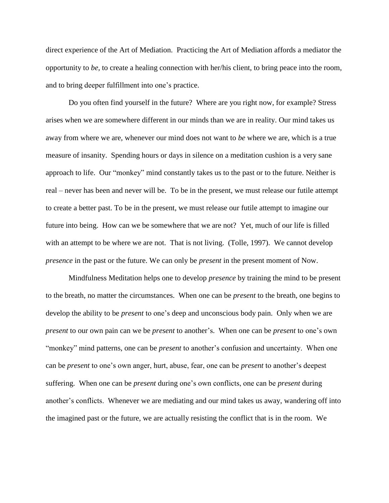direct experience of the Art of Mediation. Practicing the Art of Mediation affords a mediator the opportunity to *be,* to create a healing connection with her/his client, to bring peace into the room, and to bring deeper fulfillment into one's practice.

Do you often find yourself in the future? Where are you right now, for example? Stress arises when we are somewhere different in our minds than we are in reality. Our mind takes us away from where we are, whenever our mind does not want to *be* where we are, which is a true measure of insanity. Spending hours or days in silence on a meditation cushion is a very sane approach to life. Our "monkey" mind constantly takes us to the past or to the future. Neither is real – never has been and never will be. To be in the present, we must release our futile attempt to create a better past. To be in the present, we must release our futile attempt to imagine our future into being. How can we be somewhere that we are not? Yet, much of our life is filled with an attempt to be where we are not. That is not living. (Tolle, 1997). We cannot develop *presence* in the past or the future. We can only be *present* in the present moment of Now.

Mindfulness Meditation helps one to develop *presence* by training the mind to be present to the breath, no matter the circumstances. When one can be *present* to the breath, one begins to develop the ability to be *present* to one's deep and unconscious body pain. Only when we are *present* to our own pain can we be *present* to another's. When one can be *present* to one's own "monkey" mind patterns, one can be *present* to another's confusion and uncertainty. When one can be *present* to one's own anger, hurt, abuse, fear, one can be *present* to another's deepest suffering. When one can be *present* during one's own conflicts, one can be *present* during another's conflicts. Whenever we are mediating and our mind takes us away, wandering off into the imagined past or the future, we are actually resisting the conflict that is in the room. We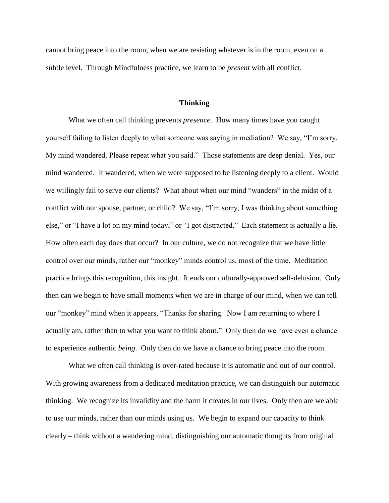cannot bring peace into the room, when we are resisting whatever is in the room, even on a subtle level. Through Mindfulness practice, we learn to be *present* with all conflict.

#### **Thinking**

What we often call thinking prevents *presence*. How many times have you caught yourself failing to listen deeply to what someone was saying in mediation? We say, "I'm sorry. My mind wandered. Please repeat what you said." Those statements are deep denial. Yes, our mind wandered. It wandered, when we were supposed to be listening deeply to a client. Would we willingly fail to serve our clients? What about when our mind "wanders" in the midst of a conflict with our spouse, partner, or child? We say, "I'm sorry, I was thinking about something else," or "I have a lot on my mind today," or "I got distracted." Each statement is actually a lie. How often each day does that occur? In our culture, we do not recognize that we have little control over our minds, rather our "monkey" minds control us, most of the time. Meditation practice brings this recognition, this insight. It ends our culturally-approved self-delusion. Only then can we begin to have small moments when we are in charge of our mind, when we can tell our "monkey" mind when it appears, "Thanks for sharing. Now I am returning to where I actually am, rather than to what you want to think about." Only then do we have even a chance to experience authentic *being*. Only then do we have a chance to bring peace into the room.

What we often call thinking is over-rated because it is automatic and out of our control. With growing awareness from a dedicated meditation practice, we can distinguish our automatic thinking. We recognize its invalidity and the harm it creates in our lives. Only then are we able to use our minds, rather than our minds using us. We begin to expand our capacity to think clearly – think without a wandering mind, distinguishing our automatic thoughts from original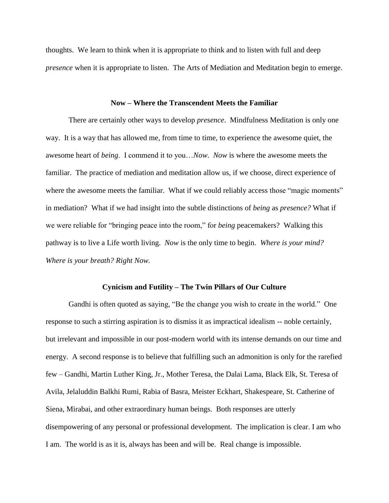thoughts. We learn to think when it is appropriate to think and to listen with full and deep *presence* when it is appropriate to listen. The Arts of Mediation and Meditation begin to emerge.

#### **Now – Where the Transcendent Meets the Familiar**

There are certainly other ways to develop *presence*. Mindfulness Meditation is only one way. It is a way that has allowed me, from time to time, to experience the awesome quiet, the awesome heart of *being*. I commend it to you…*Now*. *Now* is where the awesome meets the familiar. The practice of mediation and meditation allow us, if we choose, direct experience of where the awesome meets the familiar. What if we could reliably access those "magic moments" in mediation? What if we had insight into the subtle distinctions of *being* as *presence?* What if we were reliable for "bringing peace into the room," for *being* peacemakers? Walking this pathway is to live a Life worth living. *Now* is the only time to begin. *Where is your mind? Where is your breath? Right Now.*

# **Cynicism and Futility – The Twin Pillars of Our Culture**

Gandhi is often quoted as saying, "Be the change you wish to create in the world." One response to such a stirring aspiration is to dismiss it as impractical idealism -- noble certainly, but irrelevant and impossible in our post-modern world with its intense demands on our time and energy. A second response is to believe that fulfilling such an admonition is only for the rarefied few – Gandhi, Martin Luther King, Jr., Mother Teresa, the Dalai Lama, Black Elk, St. Teresa of Avila, Jelaluddin Balkhi Rumi, Rabia of Basra, Meister Eckhart, Shakespeare, St. Catherine of Siena, Mirabai, and other extraordinary human beings. Both responses are utterly disempowering of any personal or professional development. The implication is clear. I am who I am. The world is as it is, always has been and will be. Real change is impossible.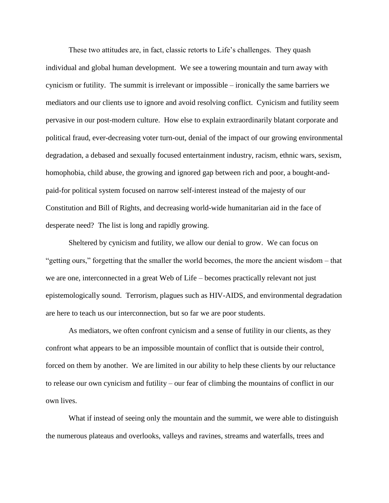These two attitudes are, in fact, classic retorts to Life's challenges. They quash individual and global human development. We see a towering mountain and turn away with cynicism or futility. The summit is irrelevant or impossible – ironically the same barriers we mediators and our clients use to ignore and avoid resolving conflict. Cynicism and futility seem pervasive in our post-modern culture. How else to explain extraordinarily blatant corporate and political fraud, ever-decreasing voter turn-out, denial of the impact of our growing environmental degradation, a debased and sexually focused entertainment industry, racism, ethnic wars, sexism, homophobia, child abuse, the growing and ignored gap between rich and poor, a bought-andpaid-for political system focused on narrow self-interest instead of the majesty of our Constitution and Bill of Rights, and decreasing world-wide humanitarian aid in the face of desperate need? The list is long and rapidly growing.

Sheltered by cynicism and futility, we allow our denial to grow. We can focus on "getting ours," forgetting that the smaller the world becomes, the more the ancient wisdom – that we are one, interconnected in a great Web of Life – becomes practically relevant not just epistemologically sound. Terrorism, plagues such as HIV-AIDS, and environmental degradation are here to teach us our interconnection, but so far we are poor students.

As mediators, we often confront cynicism and a sense of futility in our clients, as they confront what appears to be an impossible mountain of conflict that is outside their control, forced on them by another. We are limited in our ability to help these clients by our reluctance to release our own cynicism and futility – our fear of climbing the mountains of conflict in our own lives.

What if instead of seeing only the mountain and the summit, we were able to distinguish the numerous plateaus and overlooks, valleys and ravines, streams and waterfalls, trees and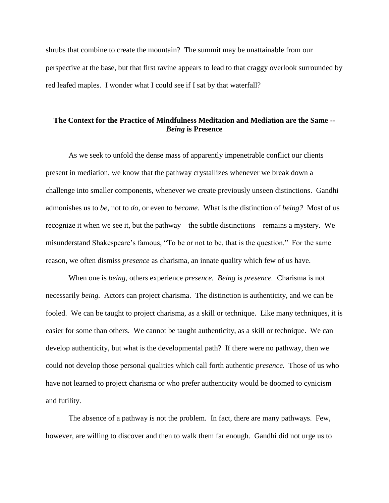shrubs that combine to create the mountain? The summit may be unattainable from our perspective at the base, but that first ravine appears to lead to that craggy overlook surrounded by red leafed maples. I wonder what I could see if I sat by that waterfall?

# **The Context for the Practice of Mindfulness Meditation and Mediation are the Same --** *Being* **is Presence**

As we seek to unfold the dense mass of apparently impenetrable conflict our clients present in mediation, we know that the pathway crystallizes whenever we break down a challenge into smaller components, whenever we create previously unseen distinctions. Gandhi admonishes us to *be,* not to *do,* or even to *become.* What is the distinction of *being?* Most of us recognize it when we see it, but the pathway – the subtle distinctions – remains a mystery. We misunderstand Shakespeare's famous, "To be or not to be, that is the question." For the same reason, we often dismiss *presence* as charisma, an innate quality which few of us have.

When one is *being,* others experience *presence. Being* is *presence.* Charisma is not necessarily *being.* Actors can project charisma. The distinction is authenticity, and we can be fooled. We can be taught to project charisma, as a skill or technique. Like many techniques, it is easier for some than others. We cannot be taught authenticity, as a skill or technique. We can develop authenticity, but what is the developmental path? If there were no pathway, then we could not develop those personal qualities which call forth authentic *presence.* Those of us who have not learned to project charisma or who prefer authenticity would be doomed to cynicism and futility.

The absence of a pathway is not the problem. In fact, there are many pathways. Few, however, are willing to discover and then to walk them far enough. Gandhi did not urge us to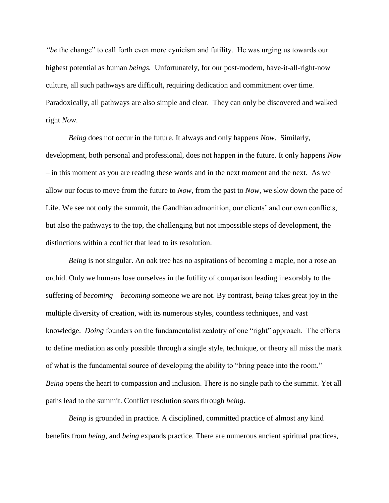*"be* the change" to call forth even more cynicism and futility. He was urging us towards our highest potential as human *beings.* Unfortunately, for our post-modern, have-it-all-right-now culture, all such pathways are difficult, requiring dedication and commitment over time. Paradoxically, all pathways are also simple and clear. They can only be discovered and walked right *Now*.

*Being* does not occur in the future. It always and only happens *Now*. Similarly, development, both personal and professional, does not happen in the future. It only happens *Now* – in this moment as you are reading these words and in the next moment and the next. As we allow our focus to move from the future to *Now*, from the past to *Now*, we slow down the pace of Life. We see not only the summit, the Gandhian admonition, our clients' and our own conflicts, but also the pathways to the top, the challenging but not impossible steps of development, the distinctions within a conflict that lead to its resolution.

*Being* is not singular. An oak tree has no aspirations of becoming a maple, nor a rose an orchid. Only we humans lose ourselves in the futility of comparison leading inexorably to the suffering of *becoming* – *becoming* someone we are not. By contrast, *being* takes great joy in the multiple diversity of creation, with its numerous styles, countless techniques, and vast knowledge. *Doing* founders on the fundamentalist zealotry of one "right" approach. The efforts to define mediation as only possible through a single style, technique, or theory all miss the mark of what is the fundamental source of developing the ability to "bring peace into the room." *Being* opens the heart to compassion and inclusion. There is no single path to the summit. Yet all paths lead to the summit. Conflict resolution soars through *being*.

*Being* is grounded in practice. A disciplined, committed practice of almost any kind benefits from *being,* and *being* expands practice. There are numerous ancient spiritual practices,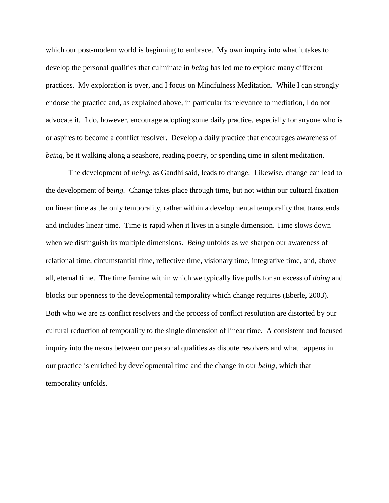which our post-modern world is beginning to embrace. My own inquiry into what it takes to develop the personal qualities that culminate in *being* has led me to explore many different practices. My exploration is over, and I focus on Mindfulness Meditation. While I can strongly endorse the practice and, as explained above, in particular its relevance to mediation, I do not advocate it. I do, however, encourage adopting some daily practice, especially for anyone who is or aspires to become a conflict resolver. Develop a daily practice that encourages awareness of *being*, be it walking along a seashore, reading poetry, or spending time in silent meditation.

The development of *being*, as Gandhi said, leads to change. Likewise, change can lead to the development of *being.* Change takes place through time, but not within our cultural fixation on linear time as the only temporality, rather within a developmental temporality that transcends and includes linear time. Time is rapid when it lives in a single dimension. Time slows down when we distinguish its multiple dimensions. *Being* unfolds as we sharpen our awareness of relational time, circumstantial time, reflective time, visionary time, integrative time, and, above all, eternal time. The time famine within which we typically live pulls for an excess of *doing* and blocks our openness to the developmental temporality which change requires (Eberle, 2003). Both who we are as conflict resolvers and the process of conflict resolution are distorted by our cultural reduction of temporality to the single dimension of linear time. A consistent and focused inquiry into the nexus between our personal qualities as dispute resolvers and what happens in our practice is enriched by developmental time and the change in our *being*, which that temporality unfolds.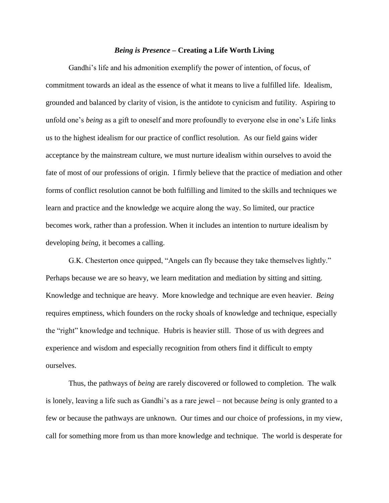### *Being is Presence* **– Creating a Life Worth Living**

Gandhi's life and his admonition exemplify the power of intention, of focus, of commitment towards an ideal as the essence of what it means to live a fulfilled life. Idealism, grounded and balanced by clarity of vision, is the antidote to cynicism and futility. Aspiring to unfold one's *being* as a gift to oneself and more profoundly to everyone else in one's Life links us to the highest idealism for our practice of conflict resolution. As our field gains wider acceptance by the mainstream culture, we must nurture idealism within ourselves to avoid the fate of most of our professions of origin. I firmly believe that the practice of mediation and other forms of conflict resolution cannot be both fulfilling and limited to the skills and techniques we learn and practice and the knowledge we acquire along the way. So limited, our practice becomes work, rather than a profession. When it includes an intention to nurture idealism by developing *being*, it becomes a calling.

G.K. Chesterton once quipped, "Angels can fly because they take themselves lightly." Perhaps because we are so heavy, we learn meditation and mediation by sitting and sitting. Knowledge and technique are heavy. More knowledge and technique are even heavier. *Being*  requires emptiness, which founders on the rocky shoals of knowledge and technique, especially the "right" knowledge and technique. Hubris is heavier still. Those of us with degrees and experience and wisdom and especially recognition from others find it difficult to empty ourselves.

Thus, the pathways of *being* are rarely discovered or followed to completion. The walk is lonely, leaving a life such as Gandhi's as a rare jewel *–* not because *being* is only granted to a few or because the pathways are unknown. Our times and our choice of professions, in my view, call for something more from us than more knowledge and technique. The world is desperate for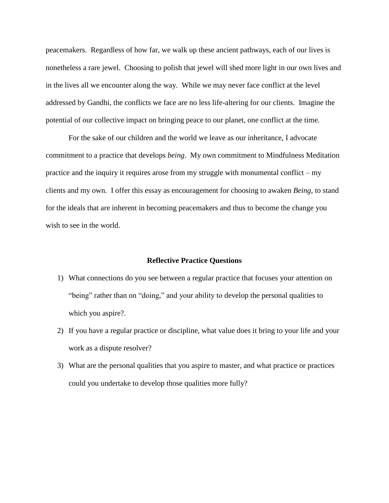peacemakers. Regardless of how far, we walk up these ancient pathways, each of our lives is nonetheless a rare jewel. Choosing to polish that jewel will shed more light in our own lives and in the lives all we encounter along the way. While we may never face conflict at the level addressed by Gandhi, the conflicts we face are no less life-altering for our clients. Imagine the potential of our collective impact on bringing peace to our planet, one conflict at the time.

For the sake of our children and the world we leave as our inheritance, I advocate commitment to a practice that develops *being.* My own commitment to Mindfulness Meditation practice and the inquiry it requires arose from my struggle with monumental conflict – my clients and my own. I offer this essay as encouragement for choosing to awaken *Being*, to stand for the ideals that are inherent in becoming peacemakers and thus to become the change you wish to see in the world.

### **Reflective Practice Questions**

- 1) What connections do you see between a regular practice that focuses your attention on "being" rather than on "doing," and your ability to develop the personal qualities to which you aspire?.
- 2) If you have a regular practice or discipline, what value does it bring to your life and your work as a dispute resolver?
- 3) What are the personal qualities that you aspire to master, and what practice or practices could you undertake to develop those qualities more fully?